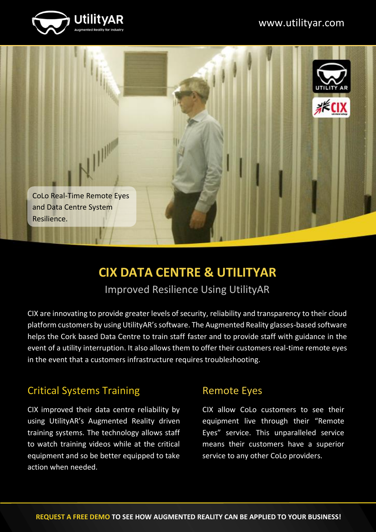



# **CIX DATA CENTRE & UTILITYAR**

Improved Resilience Using UtilityAR

CIX are innovating to provide greater levels of security, reliability and transparency to their cloud platform customers by using UtilityAR's software. The Augmented Reality glasses-based software helps the Cork based Data Centre to train staff faster and to provide staff with guidance in the event of a utility interruption. It also allows them to offer their customers real-time remote eyes in the event that a customers infrastructure requires troubleshooting.

#### Critical Systems Training

CIX improved their data centre reliability by using UtilityAR's Augmented Reality driven training systems. The technology allows staff to watch training videos while at the critical equipment and so be better equipped to take action when needed.

#### Remote Eyes

CIX allow CoLo customers to see their equipment live through their "Remote Eyes" service. This unparalleled service means their customers have a superior service to any other CoLo providers.